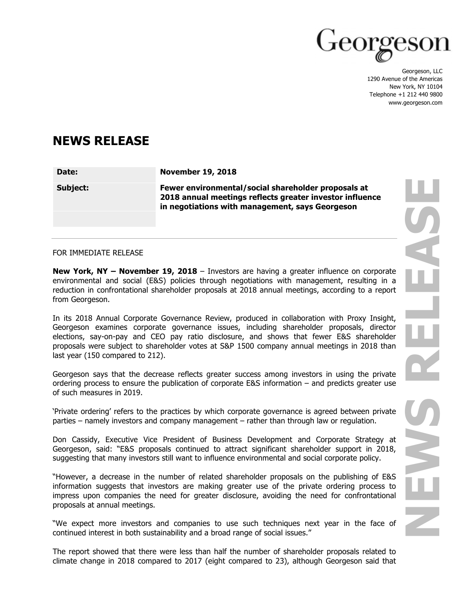

Georgeson, LLC 1290 Avenue of the Americas New York, NY 10104 Telephone +1 212 440 9800 www.georgeson.com

## **NEWS RELEASE**

| Date:    | <b>November 19, 2018</b>                                                                                                                                           |
|----------|--------------------------------------------------------------------------------------------------------------------------------------------------------------------|
| Subject: | Fewer environmental/social shareholder proposals at<br>2018 annual meetings reflects greater investor influence<br>in negotiations with management, says Georgeson |
|          |                                                                                                                                                                    |

## FOR IMMEDIATE RELEASE

**New York, NY – November 19, 2018** – Investors are having a greater influence on corporate environmental and social (E&S) policies through negotiations with management, resulting in a reduction in confrontational shareholder proposals at 2018 annual meetings, according to a report from Georgeson.

In its 2018 Annual Corporate Governance Review, produced in collaboration with Proxy Insight, Georgeson examines corporate governance issues, including shareholder proposals, director elections, say-on-pay and CEO pay ratio disclosure, and shows that fewer E&S shareholder proposals were subject to shareholder votes at S&P 1500 company annual meetings in 2018 than last year (150 compared to 212).

Georgeson says that the decrease reflects greater success among investors in using the private ordering process to ensure the publication of corporate E&S information – and predicts greater use of such measures in 2019.

'Private ordering' refers to the practices by which corporate governance is agreed between private parties – namely investors and company management – rather than through law or regulation.

Don Cassidy, Executive Vice President of Business Development and Corporate Strategy at Georgeson, said: "E&S proposals continued to attract significant shareholder support in 2018, suggesting that many investors still want to influence environmental and social corporate policy.

"However, a decrease in the number of related shareholder proposals on the publishing of E&S information suggests that investors are making greater use of the private ordering process to impress upon companies the need for greater disclosure, avoiding the need for confrontational proposals at annual meetings.

"We expect more investors and companies to use such techniques next year in the face of continued interest in both sustainability and a broad range of social issues."

The report showed that there were less than half the number of shareholder proposals related to climate change in 2018 compared to 2017 (eight compared to 23), although Georgeson said that